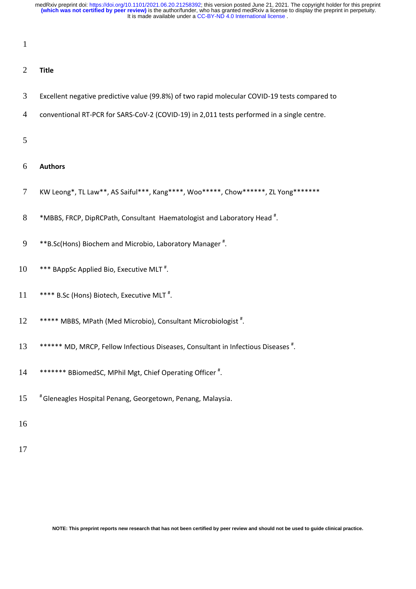1

## 2 **Title**

- 3 Excellent negative predictive value (99.8%) of two rapid molecular COVID-19 tests compared to
- 4 conventional RT-PCR for SARS-CoV-2 (COVID-19) in 2,011 tests performed in a single centre.

5

## 6 **Authors**

- 7 KW Leong\*, TL Law\*\*, AS Saiful\*\*\*, Kang\*\*\*\*, Woo\*\*\*\*\*, Chow\*\*\*\*\*\*, ZL Yong\*\*\*\*\*\*\*
- $8$  \*MBBS, FRCP, DipRCPath, Consultant Haematologist and Laboratory Head  $^*$ .
- 9 \*\*B.Sc(Hons) Biochem and Microbio, Laboratory Manager\*.
- 10 \*\*\* BAppSc Applied Bio, Executive MLT<sup>#</sup>.
- 11 \*\*\*\* B.Sc (Hons) Biotech, Executive MLT<sup>#</sup>.
- 12 \*\*\*\*\* MBBS, MPath (Med Microbio), Consultant Microbiologist<sup>#</sup>.
- 13 \*\*\*\*\*\* MD, MRCP, Fellow Infectious Diseases, Consultant in Infectious Diseases<sup>#</sup>.
- 14 \*\*\*\*\*\*\* BBiomedSC, MPhil Mgt, Chief Operating Officer<sup>#</sup>.
- 15 # Gleneagles Hospital Penang, Georgetown, Penang, Malaysia.
- 16
- 17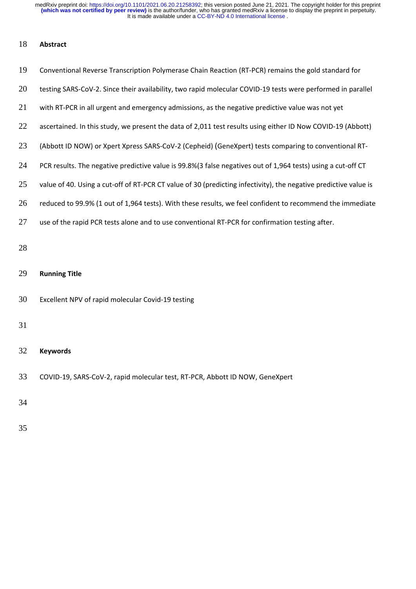## **Abstract**

| 19 | Conventional Reverse Transcription Polymerase Chain Reaction (RT-PCR) remains the gold standard for              |
|----|------------------------------------------------------------------------------------------------------------------|
| 20 | testing SARS-CoV-2. Since their availability, two rapid molecular COVID-19 tests were performed in parallel      |
| 21 | with RT-PCR in all urgent and emergency admissions, as the negative predictive value was not yet                 |
| 22 | ascertained. In this study, we present the data of 2,011 test results using either ID Now COVID-19 (Abbott)      |
| 23 | (Abbott ID NOW) or Xpert Xpress SARS-CoV-2 (Cepheid) (GeneXpert) tests comparing to conventional RT-             |
| 24 | PCR results. The negative predictive value is 99.8%(3 false negatives out of 1,964 tests) using a cut-off CT     |
| 25 | value of 40. Using a cut-off of RT-PCR CT value of 30 (predicting infectivity), the negative predictive value is |
| 26 | reduced to 99.9% (1 out of 1,964 tests). With these results, we feel confident to recommend the immediate        |
| 27 | use of the rapid PCR tests alone and to use conventional RT-PCR for confirmation testing after.                  |
| 28 |                                                                                                                  |
| 29 | <b>Running Title</b>                                                                                             |
| 30 | Excellent NPV of rapid molecular Covid-19 testing                                                                |
| 31 |                                                                                                                  |
| 32 | <b>Keywords</b>                                                                                                  |
| 33 | COVID-19, SARS-CoV-2, rapid molecular test, RT-PCR, Abbott ID NOW, GeneXpert                                     |
| 34 |                                                                                                                  |
| 35 |                                                                                                                  |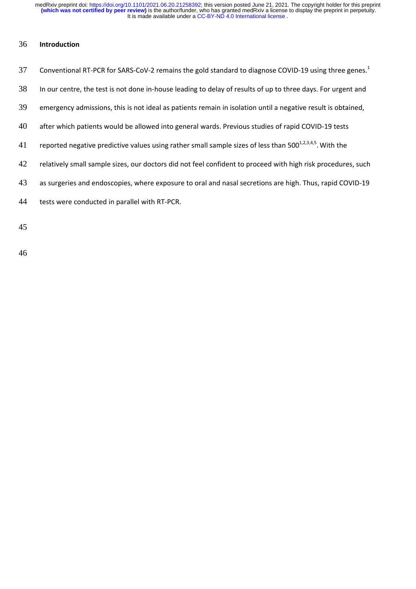### 36 **Introduction**

| 37 Conventional RT-PCR for SARS-CoV-2 remains the gold standard to diagnose COVID-19 using three genes. <sup>1</sup> |
|----------------------------------------------------------------------------------------------------------------------|
|                                                                                                                      |

- 38 In our centre, the test is not done in-house leading to delay of results of up to three days. For urgent and
- 39 emergency admissions, this is not ideal as patients remain in isolation until a negative result is obtained,
- 40 after which patients would be allowed into general wards. Previous studies of rapid COVID-19 tests
- 41 reported negative predictive values using rather small sample sizes of less than 500 $^{1,2,3,4,5}$ . With the
- 42 relatively small sample sizes, our doctors did not feel confident to proceed with high risk procedures, such
- 43 as surgeries and endoscopies, where exposure to oral and nasal secretions are high. Thus, rapid COVID-19
- 44 tests were conducted in parallel with RT-PCR.

45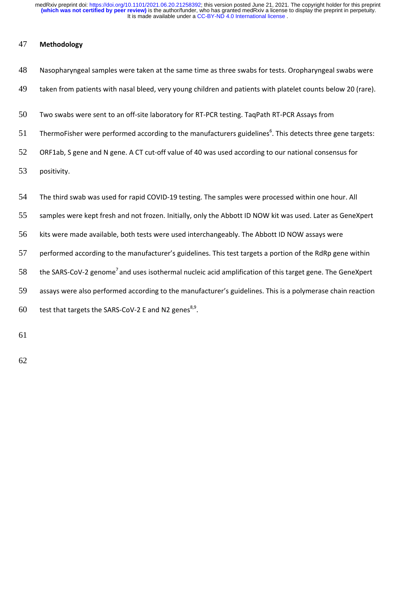## 47 **Methodology**

| 48 | Nasopharyngeal samples were taken at the same time as three swabs for tests. Oropharyngeal swabs were                 |
|----|-----------------------------------------------------------------------------------------------------------------------|
| 49 | taken from patients with nasal bleed, very young children and patients with platelet counts below 20 (rare).          |
| 50 | Two swabs were sent to an off-site laboratory for RT-PCR testing. TaqPath RT-PCR Assays from                          |
| 51 | ThermoFisher were performed according to the manufacturers guidelines <sup>6</sup> . This detects three gene targets: |
| 52 | ORF1ab, S gene and N gene. A CT cut-off value of 40 was used according to our national consensus for                  |
| 53 | positivity.                                                                                                           |
| 54 | The third swab was used for rapid COVID-19 testing. The samples were processed within one hour. All                   |
| 55 | samples were kept fresh and not frozen. Initially, only the Abbott ID NOW kit was used. Later as GeneXpert            |
| 56 | kits were made available, both tests were used interchangeably. The Abbott ID NOW assays were                         |
| 57 | performed according to the manufacturer's guidelines. This test targets a portion of the RdRp gene within             |
| 58 |                                                                                                                       |
|    | the SARS-CoV-2 genome <sup>7</sup> and uses isothermal nucleic acid amplification of this target gene. The GeneXpert  |
| 59 | assays were also performed according to the manufacturer's guidelines. This is a polymerase chain reaction            |

61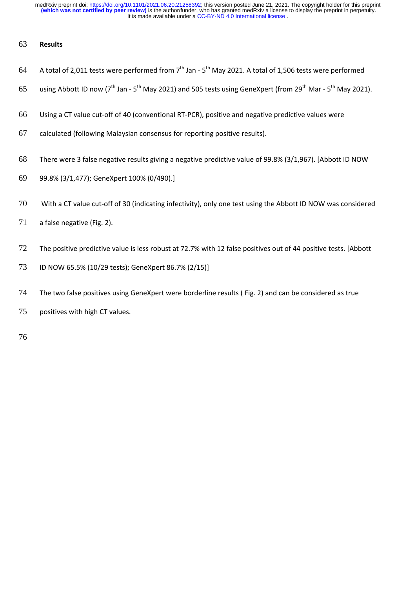## **Results**

- 64 A total of 2,011 tests were performed from  $7<sup>th</sup>$  Jan  $5<sup>th</sup>$  May 2021. A total of 1,506 tests were performed
- 65 using Abbott ID now ( $7<sup>th</sup>$  Jan  $5<sup>th</sup>$  May 2021) and 505 tests using GeneXpert (from 29<sup>th</sup> Mar  $5<sup>th</sup>$  May 2021).
- Using a CT value cut-off of 40 (conventional RT-PCR), positive and negative predictive values were
- calculated (following Malaysian consensus for reporting positive results).
- There were 3 false negative results giving a negative predictive value of 99.8% (3/1,967). [Abbott ID NOW
- 99.8% (3/1,477); GeneXpert 100% (0/490).]
- With a CT value cut-off of 30 (indicating infectivity), only one test using the Abbott ID NOW was considered
- 71 a false negative (Fig. 2).
- The positive predictive value is less robust at 72.7% with 12 false positives out of 44 positive tests. [Abbott
- ID NOW 65.5% (10/29 tests); GeneXpert 86.7% (2/15)]
- The two false positives using GeneXpert were borderline results ( Fig. 2) and can be considered as true
- positives with high CT values.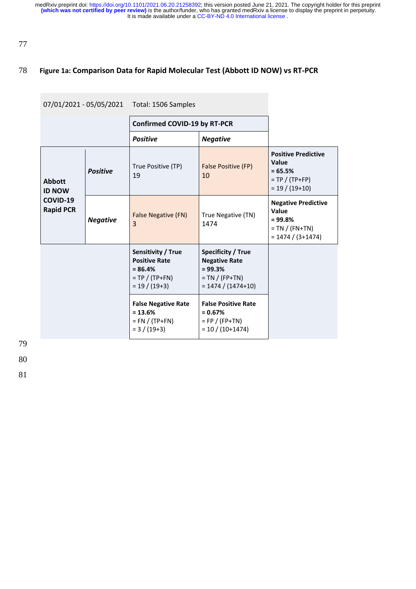## 78 **Figure 1a: Comparison Data for Rapid Molecular Test (Abbott ID NOW) vs RT-PCR**

### 07/01/2021 - 05/05/2021 Total: 1506 Samples

### **Confirmed COVID-19 by RT-PCR**

|                                |                 | <b>Positive</b>                                                                                | <b>Negative</b>                                                                                              |                                                                                             |
|--------------------------------|-----------------|------------------------------------------------------------------------------------------------|--------------------------------------------------------------------------------------------------------------|---------------------------------------------------------------------------------------------|
| <b>Abbott</b><br><b>ID NOW</b> | <b>Positive</b> | True Positive (TP)<br>19                                                                       | False Positive (FP)<br>10                                                                                    | <b>Positive Predictive</b><br>Value<br>$= 65.5%$<br>$= TP / (TP + FP)$<br>$= 19 / (19+10)$  |
| COVID-19<br><b>Rapid PCR</b>   | <b>Negative</b> | <b>False Negative (FN)</b><br>3                                                                | True Negative (TN)<br>1474                                                                                   | <b>Negative Predictive</b><br>Value<br>$= 99.8%$<br>$= TN / (FN+TN)$<br>$= 1474 / (3+1474)$ |
|                                |                 | Sensitivity / True<br><b>Positive Rate</b><br>$= 86.4%$<br>$= TP / (TP+FN)$<br>$= 19 / (19+3)$ | <b>Specificity / True</b><br><b>Negative Rate</b><br>$= 99.3%$<br>$= TN / (FP+TN)$<br>$= 1474 / (1474 + 10)$ |                                                                                             |
|                                |                 | <b>False Negative Rate</b><br>$= 13.6%$<br>$= FN / (TP+FN)$<br>$= 3 / (19+3)$                  | <b>False Positive Rate</b><br>$= 0.67\%$<br>$=$ FP / (FP+TN)<br>$= 10 / (10+1474)$                           |                                                                                             |

79

80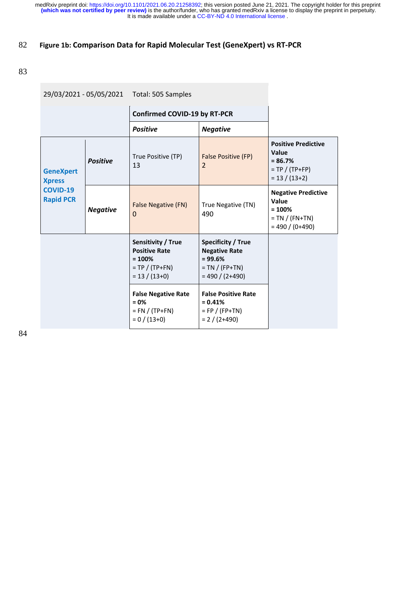## 82 **Figure 1b: Comparison Data for Rapid Molecular Test (GeneXpert) vs RT-PCR**

## 83

| 29/03/2021 - 05/05/2021 Total: 505 Samples |                 | <b>Confirmed COVID-19 by RT-PCR</b>                                                             |                                                                                                           |                                                                                           |
|--------------------------------------------|-----------------|-------------------------------------------------------------------------------------------------|-----------------------------------------------------------------------------------------------------------|-------------------------------------------------------------------------------------------|
|                                            |                 |                                                                                                 |                                                                                                           |                                                                                           |
|                                            |                 | <b>Positive</b><br><b>Negative</b>                                                              |                                                                                                           |                                                                                           |
| <b>GeneXpert</b><br><b>Xpress</b>          | <b>Positive</b> | True Positive (TP)<br>13                                                                        | False Positive (FP)<br>2                                                                                  | <b>Positive Predictive</b><br>Value<br>$= 86.7%$<br>$= TP / (TP + FP)$<br>$= 13 / (13+2)$ |
| <b>COVID-19</b><br><b>Rapid PCR</b>        | <b>Negative</b> | <b>False Negative (FN)</b><br>0                                                                 | True Negative (TN)<br>490                                                                                 | <b>Negative Predictive</b><br>Value<br>$= 100%$<br>$= TN / (FN+TN)$<br>$= 490 / (0+490)$  |
|                                            |                 | Sensitivity / True<br><b>Positive Rate</b><br>$= 100%$<br>$= TP / (TP + FN)$<br>$= 13 / (13+0)$ | <b>Specificity / True</b><br><b>Negative Rate</b><br>$= 99.6%$<br>$= TN / (FP+TN)$<br>$= 490 / (2 + 490)$ |                                                                                           |
|                                            |                 | <b>False Negative Rate</b><br>$= 0%$<br>$=$ FN / (TP+FN)<br>$= 0 / (13+0)$                      | <b>False Positive Rate</b><br>$= 0.41%$<br>$= FP / (FP+TN)$<br>$= 2 / (2+490)$                            |                                                                                           |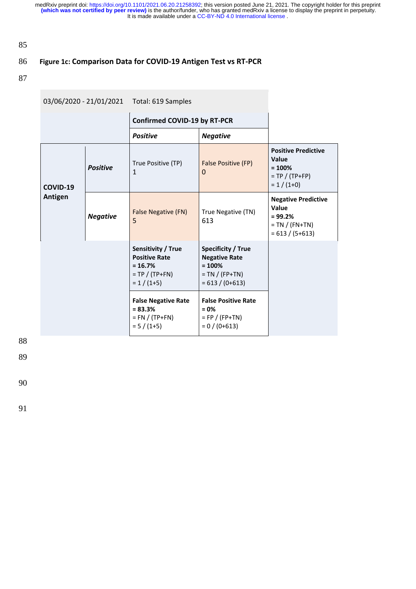85

# 86 **Figure 1c: Comparison Data for COVID-19 Antigen Test vs RT-PCR**

87

| 03/06/2020 - 21/01/2021 Total: 619 Samples |                 |                                                                                                |                                                                                                        |                                                                                             |
|--------------------------------------------|-----------------|------------------------------------------------------------------------------------------------|--------------------------------------------------------------------------------------------------------|---------------------------------------------------------------------------------------------|
|                                            |                 | <b>Confirmed COVID-19 by RT-PCR</b>                                                            |                                                                                                        |                                                                                             |
|                                            |                 | <b>Positive</b>                                                                                | <b>Negative</b>                                                                                        |                                                                                             |
| COVID-19                                   | <b>Positive</b> | True Positive (TP)<br>$\mathbf{1}$                                                             | False Positive (FP)<br>$\Omega$                                                                        | <b>Positive Predictive</b><br>Value<br>$= 100%$<br>$= TP / (TP + FP)$<br>$= 1 / (1+0)$      |
| Antigen                                    | <b>Negative</b> | <b>False Negative (FN)</b><br>5                                                                | True Negative (TN)<br>613                                                                              | <b>Negative Predictive</b><br>Value<br>$= 99.2%$<br>$= TN / (FN+TN)$<br>$= 613 / (5 + 613)$ |
|                                            |                 | Sensitivity / True<br><b>Positive Rate</b><br>$= 16.7%$<br>$= TP / (TP + FN)$<br>$= 1 / (1+5)$ | <b>Specificity / True</b><br><b>Negative Rate</b><br>$= 100%$<br>$= TN / (FP+TN)$<br>$= 613 / (0+613)$ |                                                                                             |
|                                            |                 | <b>False Negative Rate</b><br>$= 83.3%$<br>$= FN / (TP + FN)$<br>$= 5 / (1+5)$                 | <b>False Positive Rate</b><br>$= 0%$<br>$=$ FP / (FP+TN)<br>$= 0 / (0 + 613)$                          |                                                                                             |

88

89

90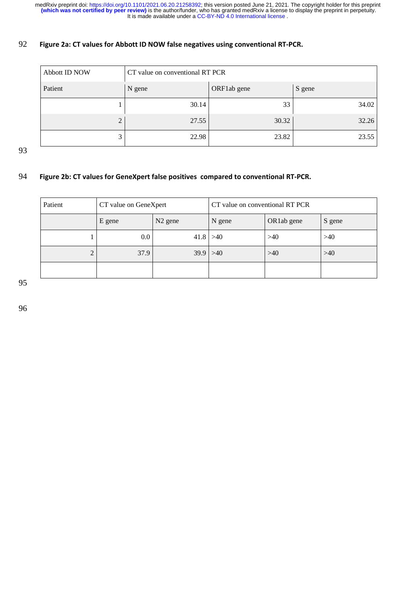## **Figure 2a: CT values for Abbott ID NOW false negatives using conventional RT-PCR.**

| Abbott ID NOW  | CT value on conventional RT PCR |             |        |  |  |
|----------------|---------------------------------|-------------|--------|--|--|
| Patient        | N gene                          | ORF1ab gene | S gene |  |  |
|                | 30.14                           | 33          | 34.02  |  |  |
| $\overline{2}$ | 27.55                           | 30.32       | 32.26  |  |  |
| 3              | 22.98                           | 23.82       | 23.55  |  |  |

### **Figure 2b: CT values for GeneXpert false positives compared to conventional RT-PCR.**

| Patient             | CT value on GeneXpert |                     | CT value on conventional RT PCR |            |        |
|---------------------|-----------------------|---------------------|---------------------------------|------------|--------|
|                     | E gene                | N <sub>2</sub> gene | N gene                          | OR1ab gene | S gene |
|                     | $0.0\,$               | $41.8$ >40          |                                 | >40        | >40    |
| ↑<br>$\overline{ }$ | 37.9                  | $39.9$ >40          |                                 | $>40$      | >40    |
|                     |                       |                     |                                 |            |        |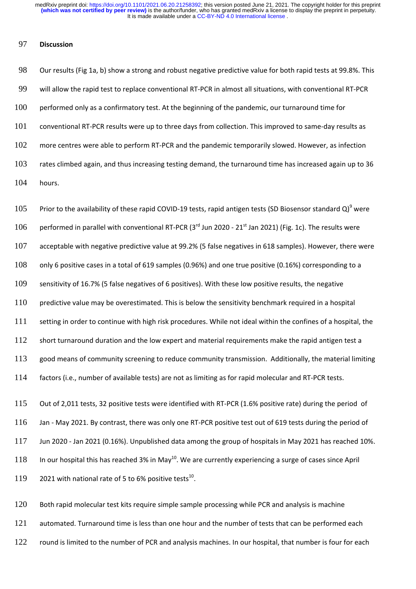#### **Discussion**

 Our results (Fig 1a, b) show a strong and robust negative predictive value for both rapid tests at 99.8%. This will allow the rapid test to replace conventional RT-PCR in almost all situations, with conventional RT-PCR performed only as a confirmatory test. At the beginning of the pandemic, our turnaround time for conventional RT-PCR results were up to three days from collection. This improved to same-day results as 102 more centres were able to perform RT-PCR and the pandemic temporarily slowed. However, as infection rates climbed again, and thus increasing testing demand, the turnaround time has increased again up to 36 hours.

105 Prior to the availability of these rapid COVID-19 tests, rapid antigen tests (SD Biosensor standard Q)<sup>9</sup> were 106 performed in parallel with conventional RT-PCR (3<sup>rd</sup> Jun 2020 - 21<sup>st</sup> Jan 2021) (Fig. 1c). The results were acceptable with negative predictive value at 99.2% (5 false negatives in 618 samples). However, there were only 6 positive cases in a total of 619 samples (0.96%) and one true positive (0.16%) corresponding to a sensitivity of 16.7% (5 false negatives of 6 positives). With these low positive results, the negative predictive value may be overestimated. This is below the sensitivity benchmark required in a hospital setting in order to continue with high risk procedures. While not ideal within the confines of a hospital, the 112 short turnaround duration and the low expert and material requirements make the rapid antigen test a good means of community screening to reduce community transmission. Additionally, the material limiting factors (i.e., number of available tests) are not as limiting as for rapid molecular and RT-PCR tests. Out of 2,011 tests, 32 positive tests were identified with RT-PCR (1.6% positive rate) during the period of

 Jan - May 2021. By contrast, there was only one RT-PCR positive test out of 619 tests during the period of Jun 2020 - Jan 2021 (0.16%). Unpublished data among the group of hospitals in May 2021 has reached 10%. In our hospital this has reached 3% in May<sup>10</sup>. We are currently experiencing a surge of cases since April with national rate of 5 to 6% positive tests<sup>10</sup>.

120 Both rapid molecular test kits require simple sample processing while PCR and analysis is machine automated. Turnaround time is less than one hour and the number of tests that can be performed each 122 round is limited to the number of PCR and analysis machines. In our hospital, that number is four for each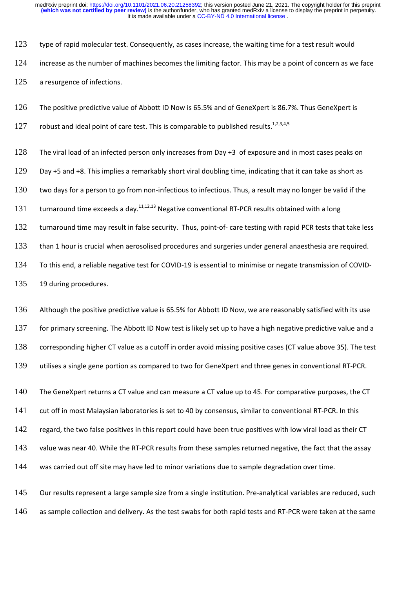123 type of rapid molecular test. Consequently, as cases increase, the waiting time for a test result would

124 increase as the number of machines becomes the limiting factor. This may be a point of concern as we face 125 a resurgence of infections.

126 The positive predictive value of Abbott ID Now is 65.5% and of GeneXpert is 86.7%. Thus GeneXpert is

127 robust and ideal point of care test. This is comparable to published results.<sup>1,2,3,4,5</sup>

128 The viral load of an infected person only increases from Day +3 of exposure and in most cases peaks on

129 Day +5 and +8. This implies a remarkably short viral doubling time, indicating that it can take as short as

130 two days for a person to go from non-infectious to infectious. Thus, a result may no longer be valid if the

131 turnaround time exceeds a day.<sup>11,12,13</sup> Negative conventional RT-PCR results obtained with a long

132 turnaround time may result in false security. Thus, point-of- care testing with rapid PCR tests that take less

133 than 1 hour is crucial when aerosolised procedures and surgeries under general anaesthesia are required.

134 To this end, a reliable negative test for COVID-19 is essential to minimise or negate transmission of COVID-

135 19 during procedures.

136 Although the positive predictive value is 65.5% for Abbott ID Now, we are reasonably satisfied with its use 137 for primary screening. The Abbott ID Now test is likely set up to have a high negative predictive value and a 138 corresponding higher CT value as a cutoff in order avoid missing positive cases (CT value above 35). The test 139 utilises a single gene portion as compared to two for GeneXpert and three genes in conventional RT-PCR.

140 The GeneXpert returns a CT value and can measure a CT value up to 45. For comparative purposes, the CT 141 cut off in most Malaysian laboratories is set to 40 by consensus, similar to conventional RT-PCR. In this

142 regard, the two false positives in this report could have been true positives with low viral load as their CT

143 value was near 40. While the RT-PCR results from these samples returned negative, the fact that the assay

144 was carried out off site may have led to minor variations due to sample degradation over time.

145 Our results represent a large sample size from a single institution. Pre-analytical variables are reduced, such 146 as sample collection and delivery. As the test swabs for both rapid tests and RT-PCR were taken at the same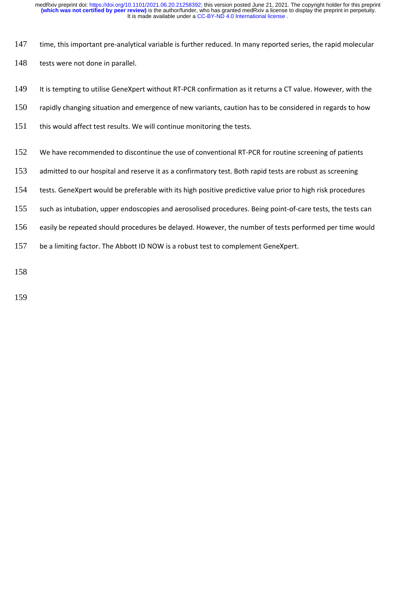- 147 time, this important pre-analytical variable is further reduced. In many reported series, the rapid molecular
- 148 tests were not done in parallel.
- 149 It is tempting to utilise GeneXpert without RT-PCR confirmation as it returns a CT value. However, with the
- 150 rapidly changing situation and emergence of new variants, caution has to be considered in regards to how
- 151 this would affect test results. We will continue monitoring the tests.
- 152 We have recommended to discontinue the use of conventional RT-PCR for routine screening of patients
- 153 admitted to our hospital and reserve it as a confirmatory test. Both rapid tests are robust as screening
- 154 tests. GeneXpert would be preferable with its high positive predictive value prior to high risk procedures
- 155 such as intubation, upper endoscopies and aerosolised procedures. Being point-of-care tests, the tests can
- 156 easily be repeated should procedures be delayed. However, the number of tests performed per time would
- 157 be a limiting factor. The Abbott ID NOW is a robust test to complement GeneXpert.

158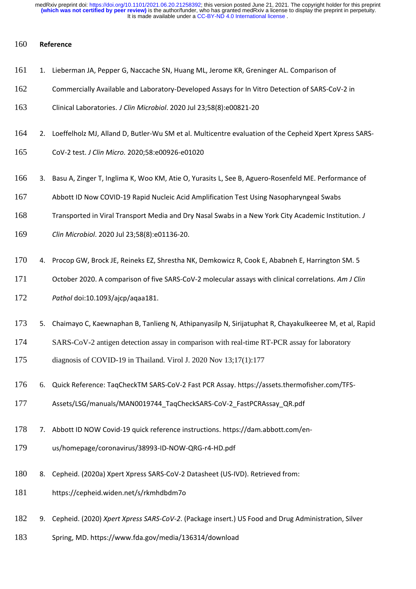### **Reference**

- 161 1. Lieberman JA, Pepper G, Naccache SN, Huang ML, Jerome KR, Greninger AL. Comparison of
- Commercially Available and Laboratory-Developed Assays for In Vitro Detection of SARS-CoV-2 in
- Clinical Laboratories. *J Clin Microbiol*. 2020 Jul 23;58(8):e00821-20
- 2. Loeffelholz MJ, Alland D, Butler-Wu SM et al. Multicentre evaluation of the Cepheid Xpert Xpress SARS-
- CoV-2 test. *J Clin Micro.* 2020;58:e00926-e01020
- 3. Basu A, Zinger T, Inglima K, Woo KM, Atie O, Yurasits L, See B, Aguero-Rosenfeld ME. Performance of
- Abbott ID Now COVID-19 Rapid Nucleic Acid Amplification Test Using Nasopharyngeal Swabs
- Transported in Viral Transport Media and Dry Nasal Swabs in a New York City Academic Institution. *J*
- *Clin Microbiol*. 2020 Jul 23;58(8):e01136-20.
- 4. Procop GW, Brock JE, Reineks EZ, Shrestha NK, Demkowicz R, Cook E, Ababneh E, Harrington SM. 5
- October 2020. A comparison of five SARS-CoV-2 molecular assays with clinical correlations. *Am J Clin*
- *Pathol* doi:10.1093/ajcp/aqaa181.
- 5. Chaimayo C, Kaewnaphan B, Tanlieng N, Athipanyasilp N, Sirijatuphat R, Chayakulkeeree M, et al, Rapid
- SARS-CoV-2 antigen detection assay in comparison with real-time RT-PCR assay for laboratory
- diagnosis of COVID-19 in Thailand. Virol J. 2020 Nov 13;17(1):177
- 6. Quick Reference: TaqCheckTM SARS-CoV-2 Fast PCR Assay. https://assets.thermofisher.com/TFS-
- Assets/LSG/manuals/MAN0019744\_TaqCheckSARS-CoV-2\_FastPCRAssay\_QR.pdf
- 7. Abbott ID NOW Covid-19 quick reference instructions. https://dam.abbott.com/en-
- us/homepage/coronavirus/38993-ID-NOW-QRG-r4-HD.pdf
- 8. Cepheid. (2020a) Xpert Xpress SARS-CoV-2 Datasheet (US-IVD). Retrieved from:
- https://cepheid.widen.net/s/rkmhdbdm7o
- 9. Cepheid. (2020) *Xpert Xpress SARS-CoV-2*. (Package insert.) US Food and Drug Administration, Silver
- Spring, MD. https://www.fda.gov/media/136314/download